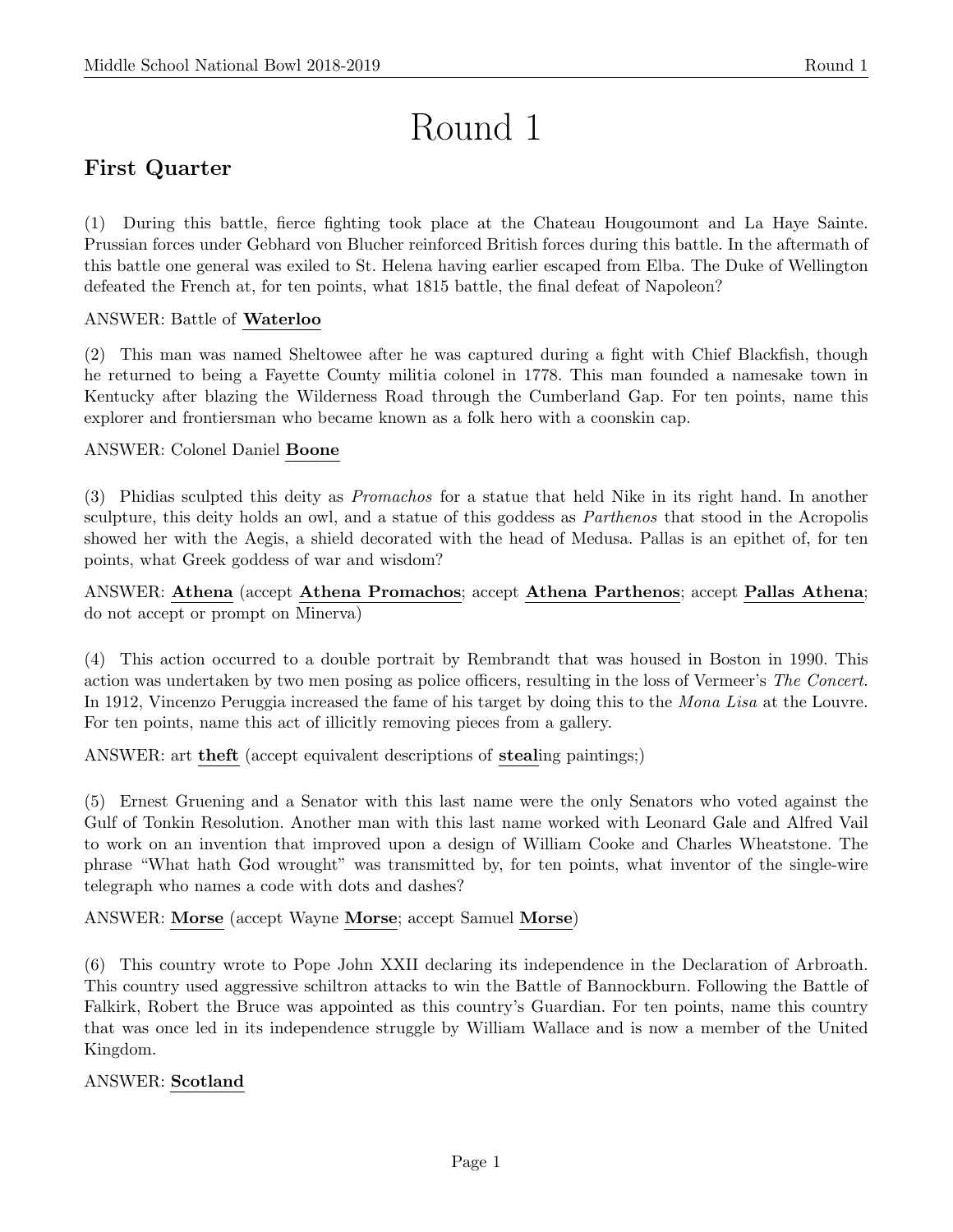# Round 1

# First Quarter

(1) During this battle, fierce fighting took place at the Chateau Hougoumont and La Haye Sainte. Prussian forces under Gebhard von Blucher reinforced British forces during this battle. In the aftermath of this battle one general was exiled to St. Helena having earlier escaped from Elba. The Duke of Wellington defeated the French at, for ten points, what 1815 battle, the final defeat of Napoleon?

# ANSWER: Battle of Waterloo

(2) This man was named Sheltowee after he was captured during a fight with Chief Blackfish, though he returned to being a Fayette County militia colonel in 1778. This man founded a namesake town in Kentucky after blazing the Wilderness Road through the Cumberland Gap. For ten points, name this explorer and frontiersman who became known as a folk hero with a coonskin cap.

# ANSWER: Colonel Daniel Boone

(3) Phidias sculpted this deity as Promachos for a statue that held Nike in its right hand. In another sculpture, this deity holds an owl, and a statue of this goddess as *Parthenos* that stood in the Acropolis showed her with the Aegis, a shield decorated with the head of Medusa. Pallas is an epithet of, for ten points, what Greek goddess of war and wisdom?

ANSWER: Athena (accept Athena Promachos; accept Athena Parthenos; accept Pallas Athena; do not accept or prompt on Minerva)

(4) This action occurred to a double portrait by Rembrandt that was housed in Boston in 1990. This action was undertaken by two men posing as police officers, resulting in the loss of Vermeer's The Concert. In 1912, Vincenzo Peruggia increased the fame of his target by doing this to the Mona Lisa at the Louvre. For ten points, name this act of illicitly removing pieces from a gallery.

ANSWER: art theft (accept equivalent descriptions of stealing paintings;)

(5) Ernest Gruening and a Senator with this last name were the only Senators who voted against the Gulf of Tonkin Resolution. Another man with this last name worked with Leonard Gale and Alfred Vail to work on an invention that improved upon a design of William Cooke and Charles Wheatstone. The phrase "What hath God wrought" was transmitted by, for ten points, what inventor of the single-wire telegraph who names a code with dots and dashes?

# ANSWER: Morse (accept Wayne Morse; accept Samuel Morse)

(6) This country wrote to Pope John XXII declaring its independence in the Declaration of Arbroath. This country used aggressive schiltron attacks to win the Battle of Bannockburn. Following the Battle of Falkirk, Robert the Bruce was appointed as this country's Guardian. For ten points, name this country that was once led in its independence struggle by William Wallace and is now a member of the United Kingdom.

# ANSWER: Scotland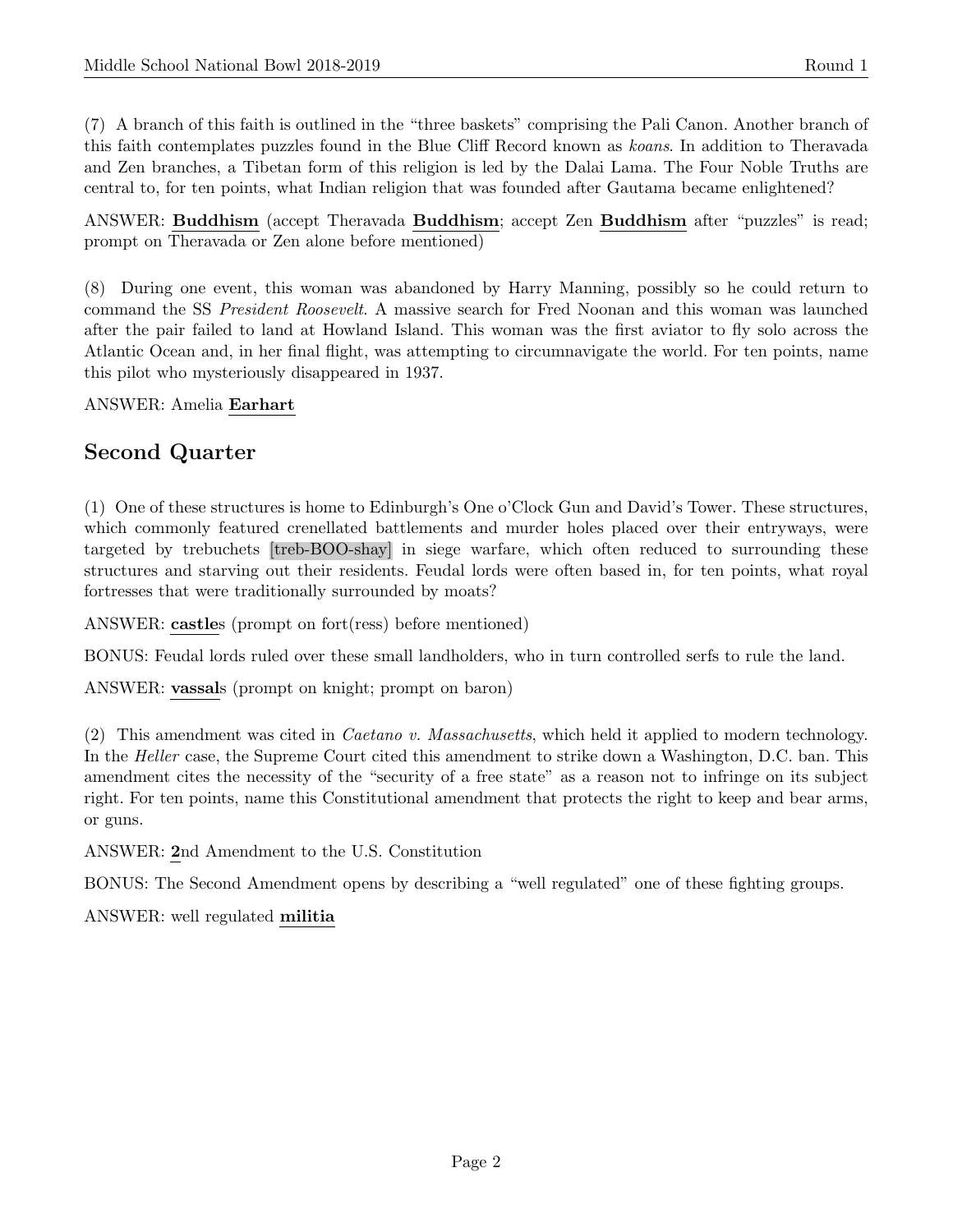(7) A branch of this faith is outlined in the "three baskets" comprising the Pali Canon. Another branch of this faith contemplates puzzles found in the Blue Cliff Record known as koans. In addition to Theravada and Zen branches, a Tibetan form of this religion is led by the Dalai Lama. The Four Noble Truths are central to, for ten points, what Indian religion that was founded after Gautama became enlightened?

ANSWER: Buddhism (accept Theravada Buddhism; accept Zen Buddhism after "puzzles" is read; prompt on Theravada or Zen alone before mentioned)

(8) During one event, this woman was abandoned by Harry Manning, possibly so he could return to command the SS President Roosevelt. A massive search for Fred Noonan and this woman was launched after the pair failed to land at Howland Island. This woman was the first aviator to fly solo across the Atlantic Ocean and, in her final flight, was attempting to circumnavigate the world. For ten points, name this pilot who mysteriously disappeared in 1937.

ANSWER: Amelia Earhart

# Second Quarter

(1) One of these structures is home to Edinburgh's One o'Clock Gun and David's Tower. These structures, which commonly featured crenellated battlements and murder holes placed over their entryways, were targeted by trebuchets [treb-BOO-shay] in siege warfare, which often reduced to surrounding these structures and starving out their residents. Feudal lords were often based in, for ten points, what royal fortresses that were traditionally surrounded by moats?

ANSWER: castles (prompt on fort(ress) before mentioned)

BONUS: Feudal lords ruled over these small landholders, who in turn controlled serfs to rule the land.

ANSWER: vassals (prompt on knight; prompt on baron)

(2) This amendment was cited in Caetano v. Massachusetts, which held it applied to modern technology. In the *Heller* case, the Supreme Court cited this amendment to strike down a Washington, D.C. ban. This amendment cites the necessity of the "security of a free state" as a reason not to infringe on its subject right. For ten points, name this Constitutional amendment that protects the right to keep and bear arms, or guns.

ANSWER: 2nd Amendment to the U.S. Constitution

BONUS: The Second Amendment opens by describing a "well regulated" one of these fighting groups.

ANSWER: well regulated militia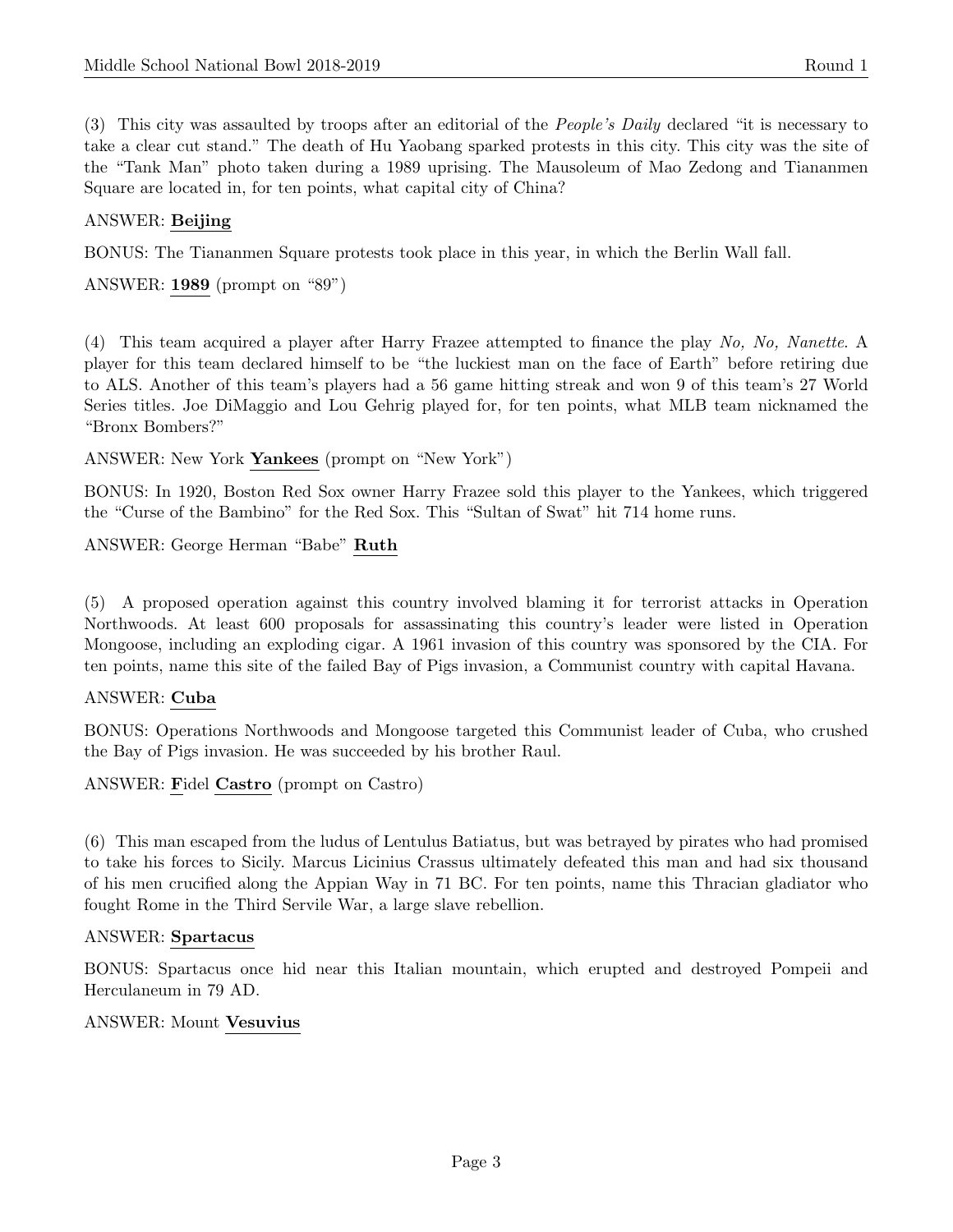(3) This city was assaulted by troops after an editorial of the People's Daily declared "it is necessary to take a clear cut stand." The death of Hu Yaobang sparked protests in this city. This city was the site of the "Tank Man" photo taken during a 1989 uprising. The Mausoleum of Mao Zedong and Tiananmen Square are located in, for ten points, what capital city of China?

# ANSWER: Beijing

BONUS: The Tiananmen Square protests took place in this year, in which the Berlin Wall fall.

ANSWER: 1989 (prompt on "89")

(4) This team acquired a player after Harry Frazee attempted to finance the play No, No, Nanette. A player for this team declared himself to be "the luckiest man on the face of Earth" before retiring due to ALS. Another of this team's players had a 56 game hitting streak and won 9 of this team's 27 World Series titles. Joe DiMaggio and Lou Gehrig played for, for ten points, what MLB team nicknamed the "Bronx Bombers?"

ANSWER: New York Yankees (prompt on "New York")

BONUS: In 1920, Boston Red Sox owner Harry Frazee sold this player to the Yankees, which triggered the "Curse of the Bambino" for the Red Sox. This "Sultan of Swat" hit 714 home runs.

ANSWER: George Herman "Babe" Ruth

(5) A proposed operation against this country involved blaming it for terrorist attacks in Operation Northwoods. At least 600 proposals for assassinating this country's leader were listed in Operation Mongoose, including an exploding cigar. A 1961 invasion of this country was sponsored by the CIA. For ten points, name this site of the failed Bay of Pigs invasion, a Communist country with capital Havana.

# ANSWER: Cuba

BONUS: Operations Northwoods and Mongoose targeted this Communist leader of Cuba, who crushed the Bay of Pigs invasion. He was succeeded by his brother Raul.

ANSWER: Fidel Castro (prompt on Castro)

(6) This man escaped from the ludus of Lentulus Batiatus, but was betrayed by pirates who had promised to take his forces to Sicily. Marcus Licinius Crassus ultimately defeated this man and had six thousand of his men crucified along the Appian Way in 71 BC. For ten points, name this Thracian gladiator who fought Rome in the Third Servile War, a large slave rebellion.

#### ANSWER: Spartacus

BONUS: Spartacus once hid near this Italian mountain, which erupted and destroyed Pompeii and Herculaneum in 79 AD.

#### ANSWER: Mount Vesuvius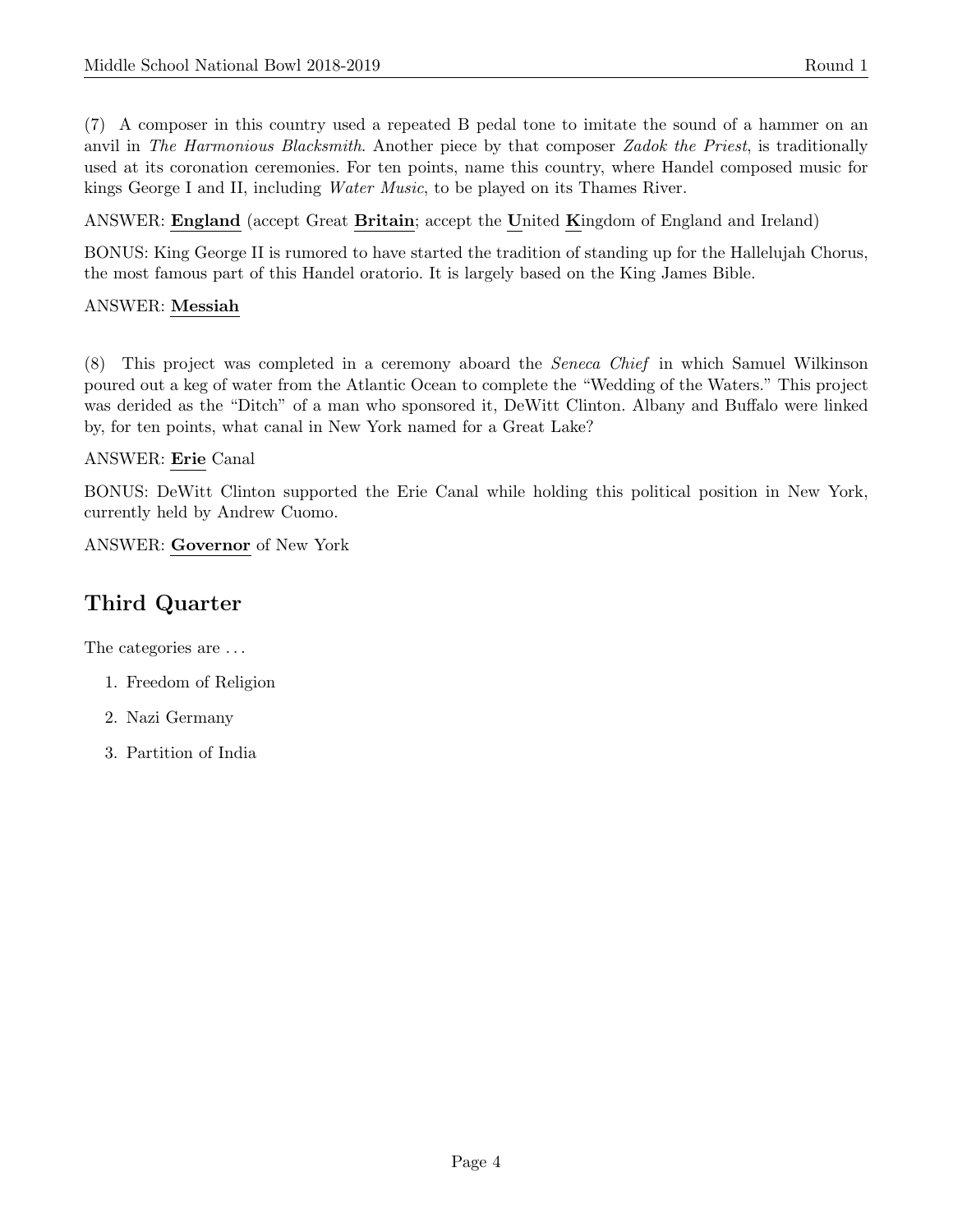(7) A composer in this country used a repeated B pedal tone to imitate the sound of a hammer on an anvil in The Harmonious Blacksmith. Another piece by that composer Zadok the Priest, is traditionally used at its coronation ceremonies. For ten points, name this country, where Handel composed music for kings George I and II, including Water Music, to be played on its Thames River.

ANSWER: England (accept Great Britain; accept the United Kingdom of England and Ireland)

BONUS: King George II is rumored to have started the tradition of standing up for the Hallelujah Chorus, the most famous part of this Handel oratorio. It is largely based on the King James Bible.

# ANSWER: Messiah

(8) This project was completed in a ceremony aboard the Seneca Chief in which Samuel Wilkinson poured out a keg of water from the Atlantic Ocean to complete the "Wedding of the Waters." This project was derided as the "Ditch" of a man who sponsored it, DeWitt Clinton. Albany and Buffalo were linked by, for ten points, what canal in New York named for a Great Lake?

# ANSWER: Erie Canal

BONUS: DeWitt Clinton supported the Erie Canal while holding this political position in New York, currently held by Andrew Cuomo.

ANSWER: Governor of New York

# Third Quarter

The categories are . . .

- 1. Freedom of Religion
- 2. Nazi Germany
- 3. Partition of India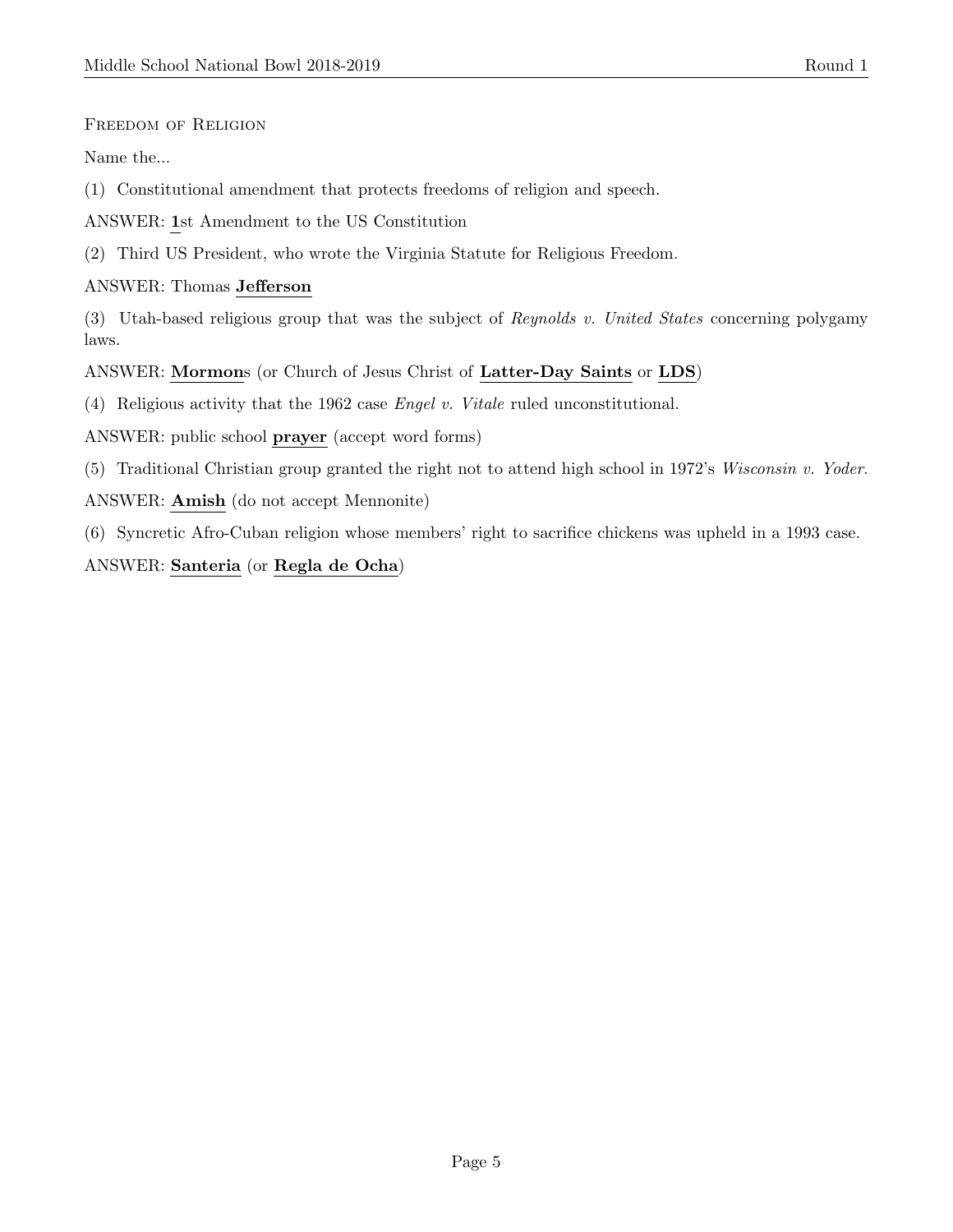Freedom of Religion

Name the...

(1) Constitutional amendment that protects freedoms of religion and speech.

ANSWER: 1st Amendment to the US Constitution

(2) Third US President, who wrote the Virginia Statute for Religious Freedom.

ANSWER: Thomas Jefferson

(3) Utah-based religious group that was the subject of Reynolds v. United States concerning polygamy laws.

ANSWER: Mormons (or Church of Jesus Christ of Latter-Day Saints or LDS)

(4) Religious activity that the 1962 case Engel v. Vitale ruled unconstitutional.

ANSWER: public school prayer (accept word forms)

(5) Traditional Christian group granted the right not to attend high school in 1972's Wisconsin v. Yoder. ANSWER: Amish (do not accept Mennonite)

(6) Syncretic Afro-Cuban religion whose members' right to sacrifice chickens was upheld in a 1993 case.

ANSWER: Santeria (or Regla de Ocha)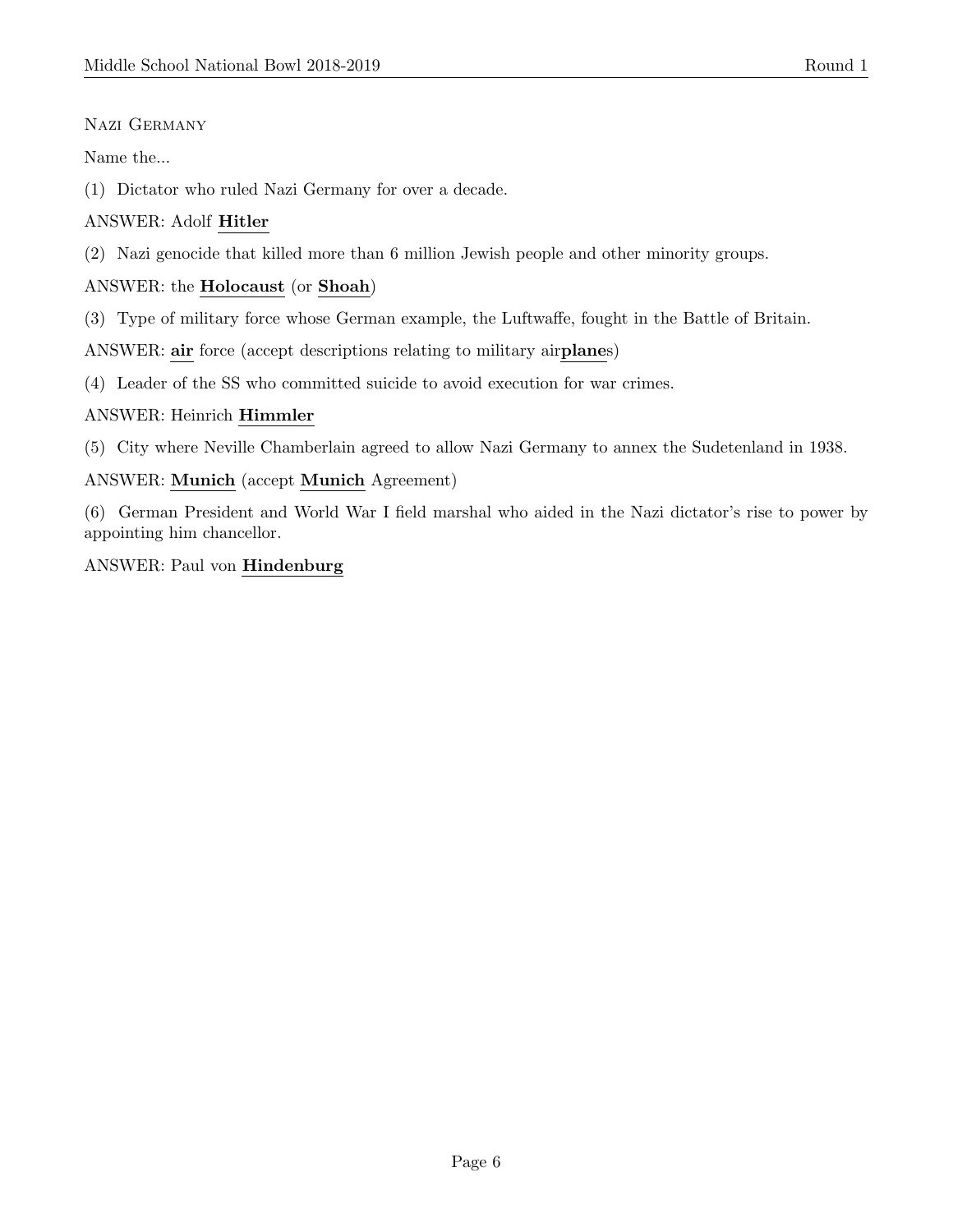# Nazi Germany

Name the...

(1) Dictator who ruled Nazi Germany for over a decade.

# ANSWER: Adolf Hitler

(2) Nazi genocide that killed more than 6 million Jewish people and other minority groups.

## ANSWER: the Holocaust (or Shoah)

(3) Type of military force whose German example, the Luftwaffe, fought in the Battle of Britain.

ANSWER: air force (accept descriptions relating to military airplanes)

(4) Leader of the SS who committed suicide to avoid execution for war crimes.

#### ANSWER: Heinrich Himmler

(5) City where Neville Chamberlain agreed to allow Nazi Germany to annex the Sudetenland in 1938.

#### ANSWER: Munich (accept Munich Agreement)

(6) German President and World War I field marshal who aided in the Nazi dictator's rise to power by appointing him chancellor.

#### ANSWER: Paul von Hindenburg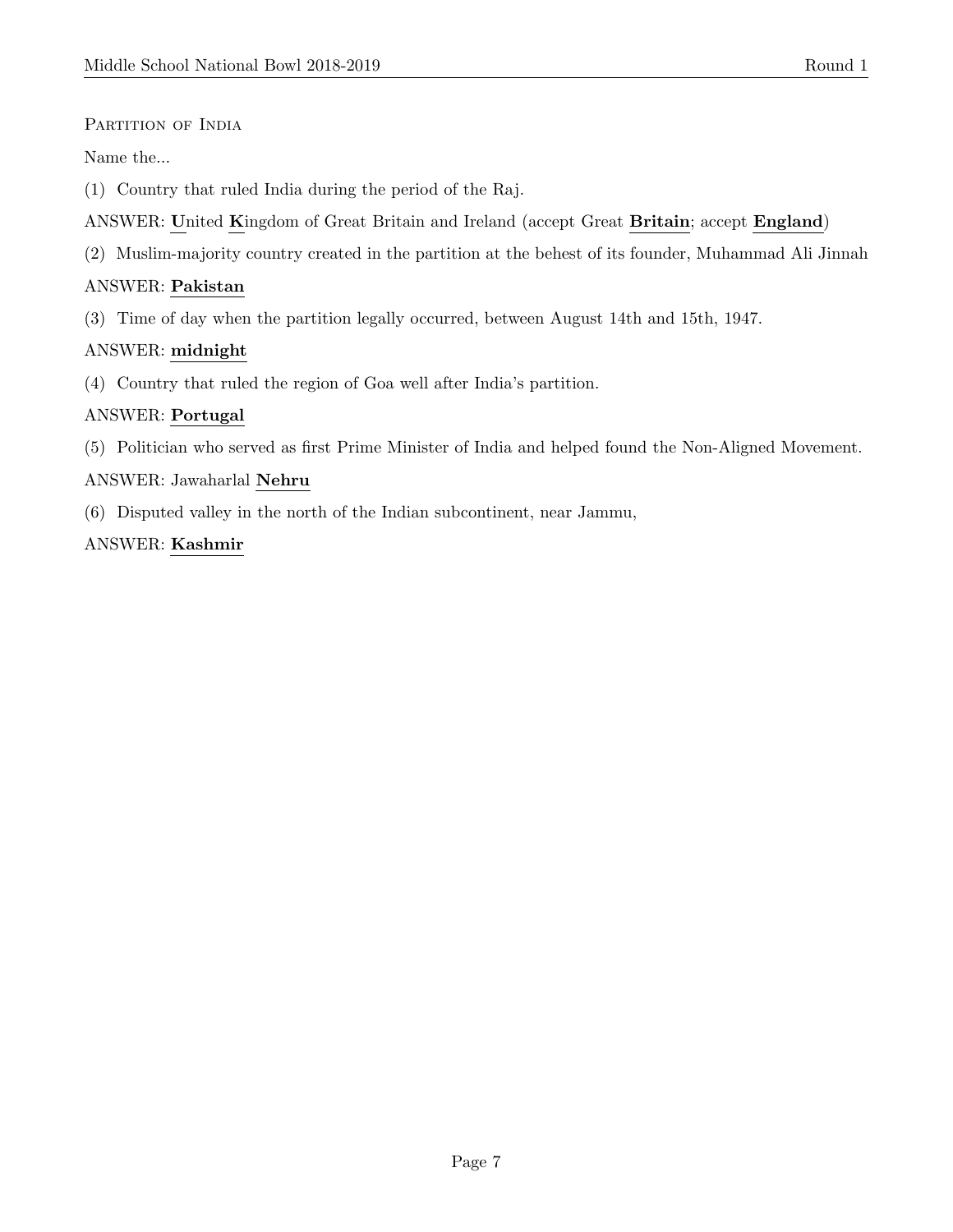### PARTITION OF INDIA

Name the...

- (1) Country that ruled India during the period of the Raj.
- ANSWER: United Kingdom of Great Britain and Ireland (accept Great Britain; accept England)
- (2) Muslim-majority country created in the partition at the behest of its founder, Muhammad Ali Jinnah

#### ANSWER: Pakistan

(3) Time of day when the partition legally occurred, between August 14th and 15th, 1947.

#### ANSWER: midnight

(4) Country that ruled the region of Goa well after India's partition.

#### ANSWER: Portugal

(5) Politician who served as first Prime Minister of India and helped found the Non-Aligned Movement.

#### ANSWER: Jawaharlal Nehru

(6) Disputed valley in the north of the Indian subcontinent, near Jammu,

#### ANSWER: Kashmir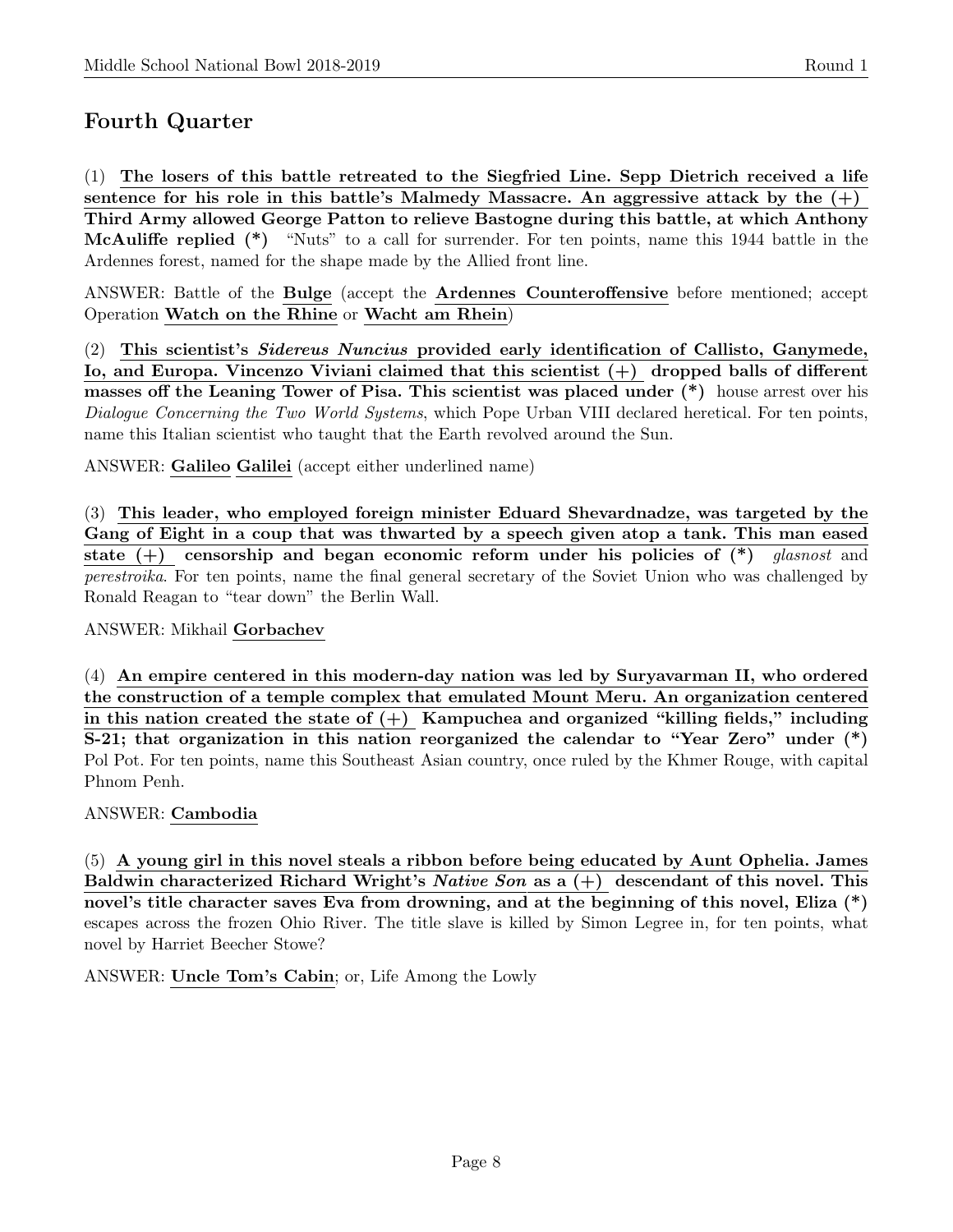# Fourth Quarter

(1) The losers of this battle retreated to the Siegfried Line. Sepp Dietrich received a life sentence for his role in this battle's Malmedy Massacre. An aggressive attack by the  $(+)$ Third Army allowed George Patton to relieve Bastogne during this battle, at which Anthony McAuliffe replied (\*) "Nuts" to a call for surrender. For ten points, name this 1944 battle in the Ardennes forest, named for the shape made by the Allied front line.

ANSWER: Battle of the Bulge (accept the Ardennes Counteroffensive before mentioned; accept Operation Watch on the Rhine or Wacht am Rhein)

(2) This scientist's Sidereus Nuncius provided early identification of Callisto, Ganymede, Io, and Europa. Vincenzo Viviani claimed that this scientist (+) dropped balls of different masses off the Leaning Tower of Pisa. This scientist was placed under (\*) house arrest over his Dialogue Concerning the Two World Systems, which Pope Urban VIII declared heretical. For ten points, name this Italian scientist who taught that the Earth revolved around the Sun.

ANSWER: Galileo Galilei (accept either underlined name)

(3) This leader, who employed foreign minister Eduard Shevardnadze, was targeted by the Gang of Eight in a coup that was thwarted by a speech given atop a tank. This man eased state  $(+)$  censorship and began economic reform under his policies of  $(*)$  glasnost and perestroika. For ten points, name the final general secretary of the Soviet Union who was challenged by Ronald Reagan to "tear down" the Berlin Wall.

ANSWER: Mikhail Gorbachev

(4) An empire centered in this modern-day nation was led by Suryavarman II, who ordered the construction of a temple complex that emulated Mount Meru. An organization centered in this nation created the state of  $(+)$  Kampuchea and organized "killing fields," including S-21; that organization in this nation reorganized the calendar to "Year Zero" under (\*) Pol Pot. For ten points, name this Southeast Asian country, once ruled by the Khmer Rouge, with capital Phnom Penh.

ANSWER: Cambodia

(5) A young girl in this novel steals a ribbon before being educated by Aunt Ophelia. James Baldwin characterized Richard Wright's *Native Son* as a  $(+)$  descendant of this novel. This novel's title character saves Eva from drowning, and at the beginning of this novel, Eliza  $(*)$ escapes across the frozen Ohio River. The title slave is killed by Simon Legree in, for ten points, what novel by Harriet Beecher Stowe?

ANSWER: Uncle Tom's Cabin; or, Life Among the Lowly